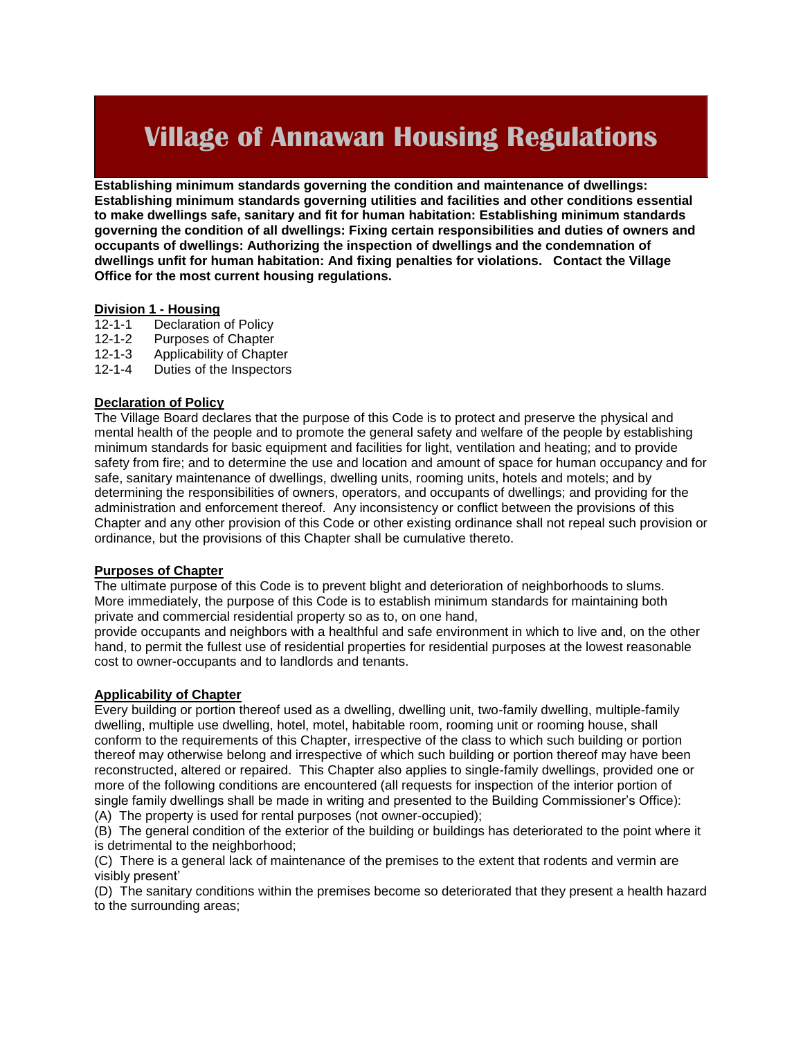# **Village of Annawan Housing Regulations**

**Establishing minimum standards governing the condition and maintenance of dwellings: Establishing minimum standards governing utilities and facilities and other conditions essential to make dwellings safe, sanitary and fit for human habitation: Establishing minimum standards governing the condition of all dwellings: Fixing certain responsibilities and duties of owners and occupants of dwellings: Authorizing the inspection of dwellings and the condemnation of dwellings unfit for human habitation: And fixing penalties for violations. Contact the Village Office for the most current housing regulations.**

## **Division 1 - Housing**

- Declaration of Policy
- 12-1-2 Purposes of Chapter
- 12-1-3 Applicability of Chapter
- 12-1-4 Duties of the Inspectors

#### **Declaration of Policy**

The Village Board declares that the purpose of this Code is to protect and preserve the physical and mental health of the people and to promote the general safety and welfare of the people by establishing minimum standards for basic equipment and facilities for light, ventilation and heating; and to provide safety from fire; and to determine the use and location and amount of space for human occupancy and for safe, sanitary maintenance of dwellings, dwelling units, rooming units, hotels and motels; and by determining the responsibilities of owners, operators, and occupants of dwellings; and providing for the administration and enforcement thereof. Any inconsistency or conflict between the provisions of this Chapter and any other provision of this Code or other existing ordinance shall not repeal such provision or ordinance, but the provisions of this Chapter shall be cumulative thereto.

#### **Purposes of Chapter**

The ultimate purpose of this Code is to prevent blight and deterioration of neighborhoods to slums. More immediately, the purpose of this Code is to establish minimum standards for maintaining both private and commercial residential property so as to, on one hand,

provide occupants and neighbors with a healthful and safe environment in which to live and, on the other hand, to permit the fullest use of residential properties for residential purposes at the lowest reasonable cost to owner-occupants and to landlords and tenants.

#### **Applicability of Chapter**

Every building or portion thereof used as a dwelling, dwelling unit, two-family dwelling, multiple-family dwelling, multiple use dwelling, hotel, motel, habitable room, rooming unit or rooming house, shall conform to the requirements of this Chapter, irrespective of the class to which such building or portion thereof may otherwise belong and irrespective of which such building or portion thereof may have been reconstructed, altered or repaired. This Chapter also applies to single-family dwellings, provided one or more of the following conditions are encountered (all requests for inspection of the interior portion of single family dwellings shall be made in writing and presented to the Building Commissioner's Office): (A) The property is used for rental purposes (not owner-occupied);

(B) The general condition of the exterior of the building or buildings has deteriorated to the point where it is detrimental to the neighborhood;

(C) There is a general lack of maintenance of the premises to the extent that rodents and vermin are visibly present'

(D) The sanitary conditions within the premises become so deteriorated that they present a health hazard to the surrounding areas;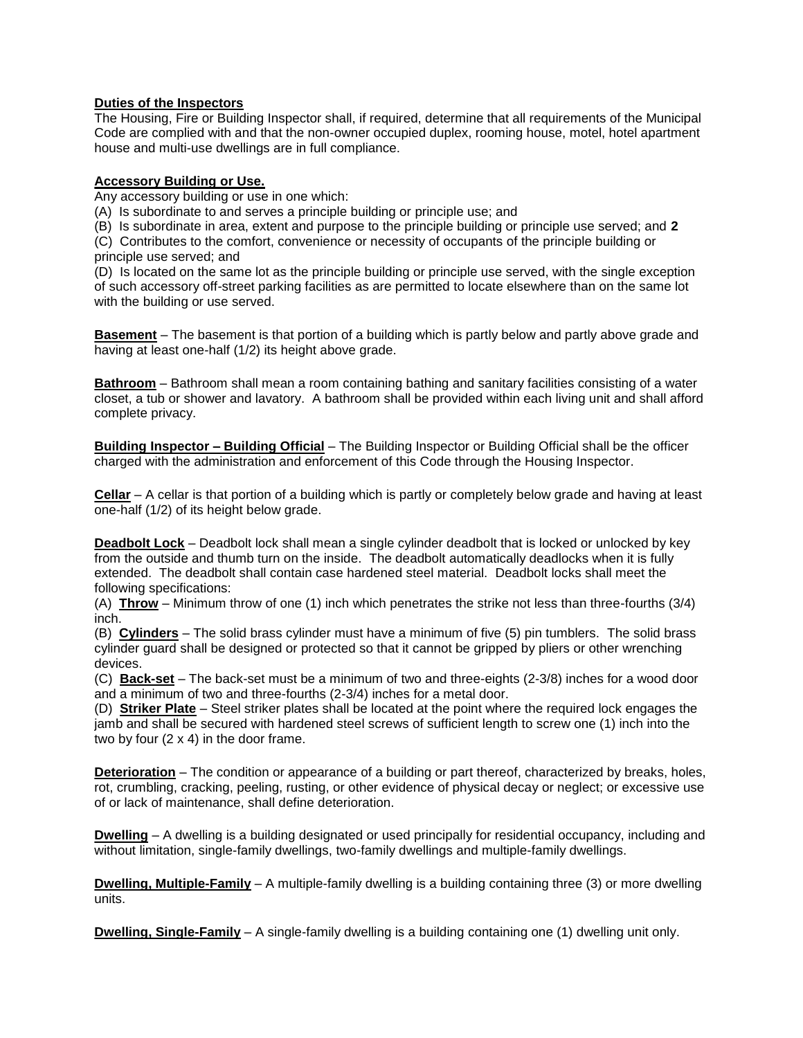#### **Duties of the Inspectors**

The Housing, Fire or Building Inspector shall, if required, determine that all requirements of the Municipal Code are complied with and that the non-owner occupied duplex, rooming house, motel, hotel apartment house and multi-use dwellings are in full compliance.

#### **Accessory Building or Use.**

Any accessory building or use in one which:

(A) Is subordinate to and serves a principle building or principle use; and

(B) Is subordinate in area, extent and purpose to the principle building or principle use served; and **2**

(C) Contributes to the comfort, convenience or necessity of occupants of the principle building or principle use served; and

(D) Is located on the same lot as the principle building or principle use served, with the single exception of such accessory off-street parking facilities as are permitted to locate elsewhere than on the same lot with the building or use served.

**Basement** – The basement is that portion of a building which is partly below and partly above grade and having at least one-half (1/2) its height above grade.

**Bathroom** – Bathroom shall mean a room containing bathing and sanitary facilities consisting of a water closet, a tub or shower and lavatory. A bathroom shall be provided within each living unit and shall afford complete privacy.

**Building Inspector – Building Official** – The Building Inspector or Building Official shall be the officer charged with the administration and enforcement of this Code through the Housing Inspector.

**Cellar** – A cellar is that portion of a building which is partly or completely below grade and having at least one-half (1/2) of its height below grade.

**Deadbolt Lock** – Deadbolt lock shall mean a single cylinder deadbolt that is locked or unlocked by key from the outside and thumb turn on the inside. The deadbolt automatically deadlocks when it is fully extended. The deadbolt shall contain case hardened steel material. Deadbolt locks shall meet the following specifications:

(A) **Throw** – Minimum throw of one (1) inch which penetrates the strike not less than three-fourths (3/4) inch.

(B) **Cylinders** – The solid brass cylinder must have a minimum of five (5) pin tumblers. The solid brass cylinder guard shall be designed or protected so that it cannot be gripped by pliers or other wrenching devices.

(C) **Back-set** – The back-set must be a minimum of two and three-eights (2-3/8) inches for a wood door and a minimum of two and three-fourths (2-3/4) inches for a metal door.

(D) **Striker Plate** – Steel striker plates shall be located at the point where the required lock engages the jamb and shall be secured with hardened steel screws of sufficient length to screw one (1) inch into the two by four (2 x 4) in the door frame.

**Deterioration** – The condition or appearance of a building or part thereof, characterized by breaks, holes, rot, crumbling, cracking, peeling, rusting, or other evidence of physical decay or neglect; or excessive use of or lack of maintenance, shall define deterioration.

**Dwelling** – A dwelling is a building designated or used principally for residential occupancy, including and without limitation, single-family dwellings, two-family dwellings and multiple-family dwellings.

**Dwelling, Multiple-Family** – A multiple-family dwelling is a building containing three (3) or more dwelling units.

**Dwelling, Single-Family** – A single-family dwelling is a building containing one (1) dwelling unit only.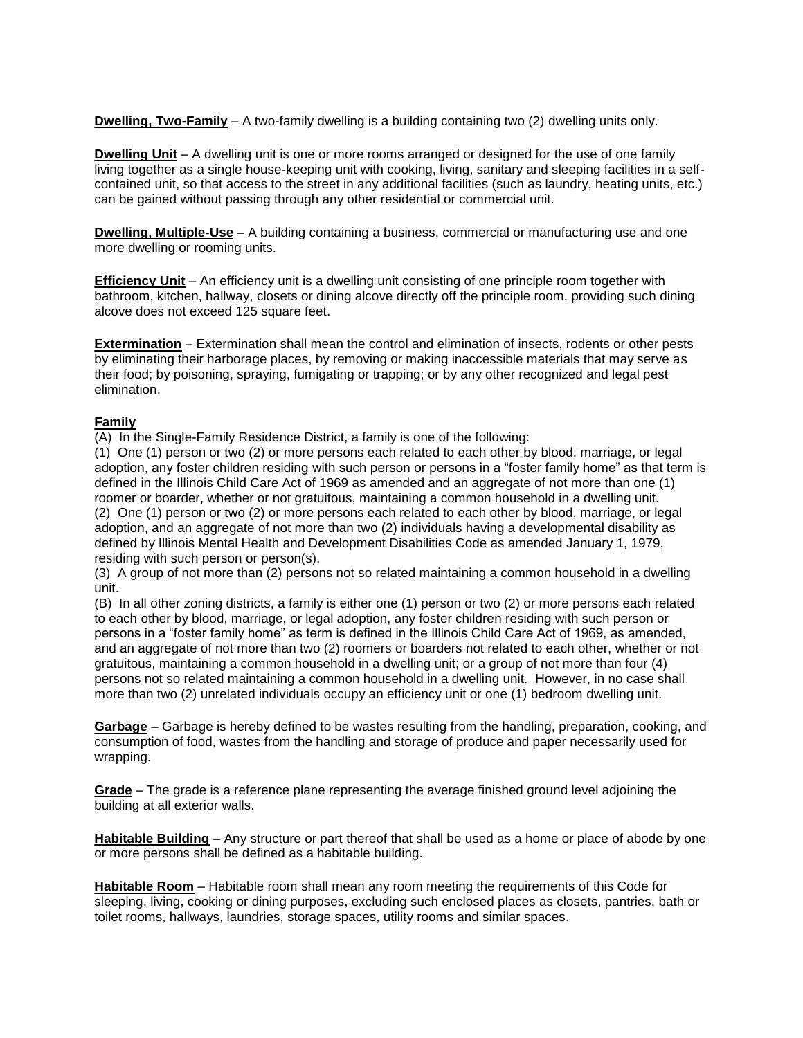**Dwelling, Two-Family** – A two-family dwelling is a building containing two (2) dwelling units only.

**Dwelling Unit** – A dwelling unit is one or more rooms arranged or designed for the use of one family living together as a single house-keeping unit with cooking, living, sanitary and sleeping facilities in a selfcontained unit, so that access to the street in any additional facilities (such as laundry, heating units, etc.) can be gained without passing through any other residential or commercial unit.

**Dwelling, Multiple-Use** – A building containing a business, commercial or manufacturing use and one more dwelling or rooming units.

**Efficiency Unit** – An efficiency unit is a dwelling unit consisting of one principle room together with bathroom, kitchen, hallway, closets or dining alcove directly off the principle room, providing such dining alcove does not exceed 125 square feet.

**Extermination** – Extermination shall mean the control and elimination of insects, rodents or other pests by eliminating their harborage places, by removing or making inaccessible materials that may serve as their food; by poisoning, spraying, fumigating or trapping; or by any other recognized and legal pest elimination.

#### **Family**

(A) In the Single-Family Residence District, a family is one of the following:

(1) One (1) person or two (2) or more persons each related to each other by blood, marriage, or legal adoption, any foster children residing with such person or persons in a "foster family home" as that term is defined in the Illinois Child Care Act of 1969 as amended and an aggregate of not more than one (1) roomer or boarder, whether or not gratuitous, maintaining a common household in a dwelling unit. (2) One (1) person or two (2) or more persons each related to each other by blood, marriage, or legal adoption, and an aggregate of not more than two (2) individuals having a developmental disability as defined by Illinois Mental Health and Development Disabilities Code as amended January 1, 1979, residing with such person or person(s).

(3) A group of not more than (2) persons not so related maintaining a common household in a dwelling unit.

(B) In all other zoning districts, a family is either one (1) person or two (2) or more persons each related to each other by blood, marriage, or legal adoption, any foster children residing with such person or persons in a "foster family home" as term is defined in the Illinois Child Care Act of 1969, as amended, and an aggregate of not more than two (2) roomers or boarders not related to each other, whether or not gratuitous, maintaining a common household in a dwelling unit; or a group of not more than four (4) persons not so related maintaining a common household in a dwelling unit. However, in no case shall more than two (2) unrelated individuals occupy an efficiency unit or one (1) bedroom dwelling unit.

**Garbage** – Garbage is hereby defined to be wastes resulting from the handling, preparation, cooking, and consumption of food, wastes from the handling and storage of produce and paper necessarily used for wrapping.

**Grade** – The grade is a reference plane representing the average finished ground level adjoining the building at all exterior walls.

**Habitable Building** – Any structure or part thereof that shall be used as a home or place of abode by one or more persons shall be defined as a habitable building.

**Habitable Room** – Habitable room shall mean any room meeting the requirements of this Code for sleeping, living, cooking or dining purposes, excluding such enclosed places as closets, pantries, bath or toilet rooms, hallways, laundries, storage spaces, utility rooms and similar spaces.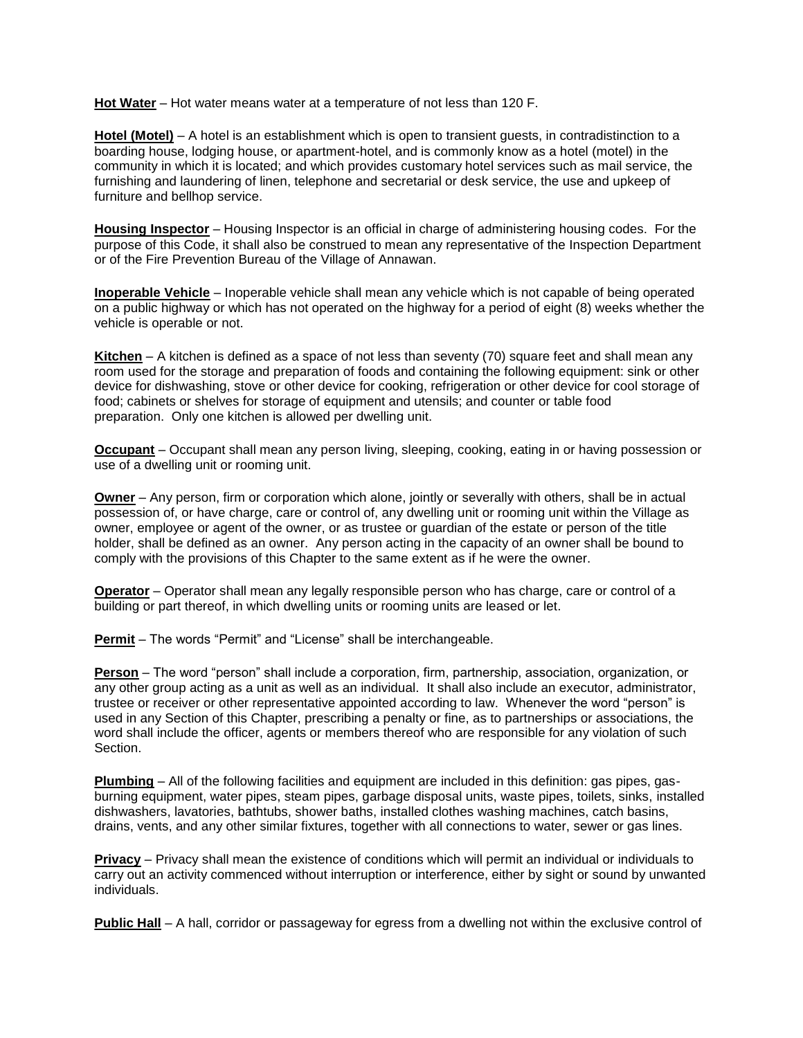**Hot Water** – Hot water means water at a temperature of not less than 120 F.

**Hotel (Motel)** – A hotel is an establishment which is open to transient guests, in contradistinction to a boarding house, lodging house, or apartment-hotel, and is commonly know as a hotel (motel) in the community in which it is located; and which provides customary hotel services such as mail service, the furnishing and laundering of linen, telephone and secretarial or desk service, the use and upkeep of furniture and bellhop service.

**Housing Inspector** – Housing Inspector is an official in charge of administering housing codes. For the purpose of this Code, it shall also be construed to mean any representative of the Inspection Department or of the Fire Prevention Bureau of the Village of Annawan.

**Inoperable Vehicle** – Inoperable vehicle shall mean any vehicle which is not capable of being operated on a public highway or which has not operated on the highway for a period of eight (8) weeks whether the vehicle is operable or not.

**Kitchen** – A kitchen is defined as a space of not less than seventy (70) square feet and shall mean any room used for the storage and preparation of foods and containing the following equipment: sink or other device for dishwashing, stove or other device for cooking, refrigeration or other device for cool storage of food; cabinets or shelves for storage of equipment and utensils; and counter or table food preparation. Only one kitchen is allowed per dwelling unit.

**Occupant** – Occupant shall mean any person living, sleeping, cooking, eating in or having possession or use of a dwelling unit or rooming unit.

**Owner** – Any person, firm or corporation which alone, jointly or severally with others, shall be in actual possession of, or have charge, care or control of, any dwelling unit or rooming unit within the Village as owner, employee or agent of the owner, or as trustee or guardian of the estate or person of the title holder, shall be defined as an owner. Any person acting in the capacity of an owner shall be bound to comply with the provisions of this Chapter to the same extent as if he were the owner.

**Operator** – Operator shall mean any legally responsible person who has charge, care or control of a building or part thereof, in which dwelling units or rooming units are leased or let.

**Permit** – The words "Permit" and "License" shall be interchangeable.

**Person** – The word "person" shall include a corporation, firm, partnership, association, organization, or any other group acting as a unit as well as an individual. It shall also include an executor, administrator, trustee or receiver or other representative appointed according to law. Whenever the word "person" is used in any Section of this Chapter, prescribing a penalty or fine, as to partnerships or associations, the word shall include the officer, agents or members thereof who are responsible for any violation of such Section.

**Plumbing** – All of the following facilities and equipment are included in this definition: gas pipes, gasburning equipment, water pipes, steam pipes, garbage disposal units, waste pipes, toilets, sinks, installed dishwashers, lavatories, bathtubs, shower baths, installed clothes washing machines, catch basins, drains, vents, and any other similar fixtures, together with all connections to water, sewer or gas lines.

**Privacy** – Privacy shall mean the existence of conditions which will permit an individual or individuals to carry out an activity commenced without interruption or interference, either by sight or sound by unwanted individuals.

**Public Hall** – A hall, corridor or passageway for egress from a dwelling not within the exclusive control of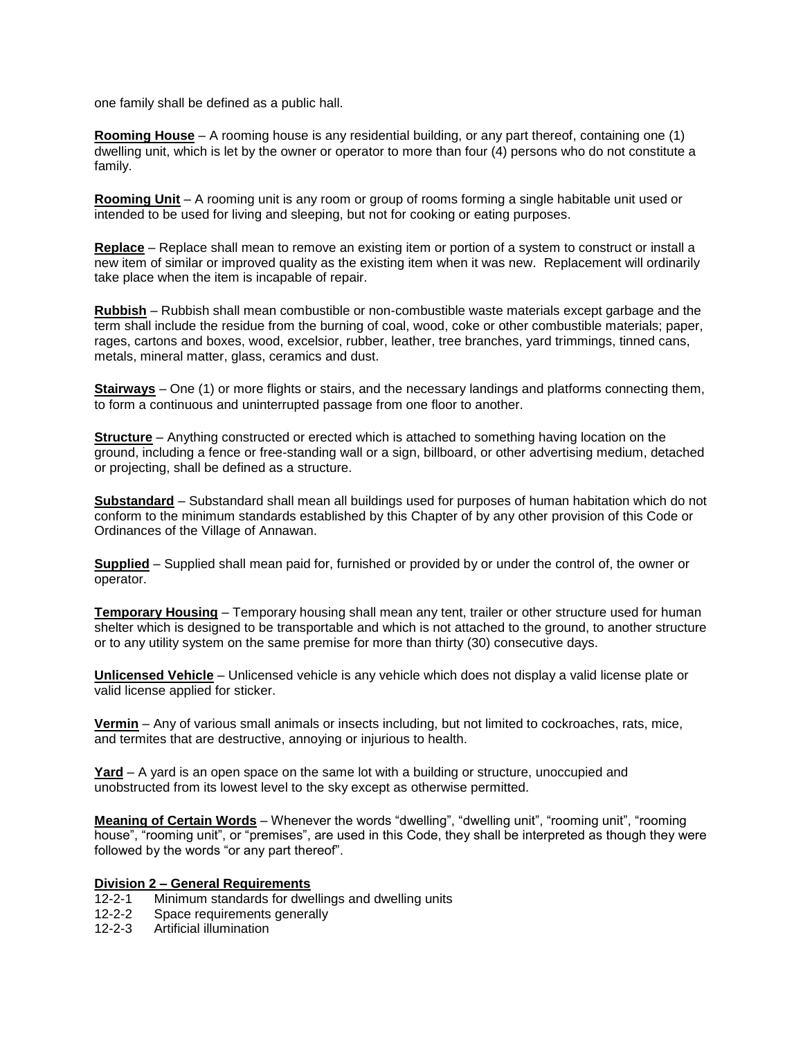one family shall be defined as a public hall.

**Rooming House** – A rooming house is any residential building, or any part thereof, containing one (1) dwelling unit, which is let by the owner or operator to more than four (4) persons who do not constitute a family.

**Rooming Unit** – A rooming unit is any room or group of rooms forming a single habitable unit used or intended to be used for living and sleeping, but not for cooking or eating purposes.

**Replace** – Replace shall mean to remove an existing item or portion of a system to construct or install a new item of similar or improved quality as the existing item when it was new. Replacement will ordinarily take place when the item is incapable of repair.

**Rubbish** – Rubbish shall mean combustible or non-combustible waste materials except garbage and the term shall include the residue from the burning of coal, wood, coke or other combustible materials; paper, rages, cartons and boxes, wood, excelsior, rubber, leather, tree branches, yard trimmings, tinned cans, metals, mineral matter, glass, ceramics and dust.

**Stairways** – One (1) or more flights or stairs, and the necessary landings and platforms connecting them, to form a continuous and uninterrupted passage from one floor to another.

**Structure** – Anything constructed or erected which is attached to something having location on the ground, including a fence or free-standing wall or a sign, billboard, or other advertising medium, detached or projecting, shall be defined as a structure.

**Substandard** – Substandard shall mean all buildings used for purposes of human habitation which do not conform to the minimum standards established by this Chapter of by any other provision of this Code or Ordinances of the Village of Annawan.

**Supplied** – Supplied shall mean paid for, furnished or provided by or under the control of, the owner or operator.

**Temporary Housing** – Temporary housing shall mean any tent, trailer or other structure used for human shelter which is designed to be transportable and which is not attached to the ground, to another structure or to any utility system on the same premise for more than thirty (30) consecutive days.

**Unlicensed Vehicle** – Unlicensed vehicle is any vehicle which does not display a valid license plate or valid license applied for sticker.

**Vermin** – Any of various small animals or insects including, but not limited to cockroaches, rats, mice, and termites that are destructive, annoying or injurious to health.

**Yard** – A yard is an open space on the same lot with a building or structure, unoccupied and unobstructed from its lowest level to the sky except as otherwise permitted.

**Meaning of Certain Words** – Whenever the words "dwelling", "dwelling unit", "rooming unit", "rooming house", "rooming unit", or "premises", are used in this Code, they shall be interpreted as though they were followed by the words "or any part thereof".

#### **Division 2 – General Requirements**

- 12-2-1 Minimum standards for dwellings and dwelling units
- 12-2-2 Space requirements generally
- 12-2-3 Artificial illumination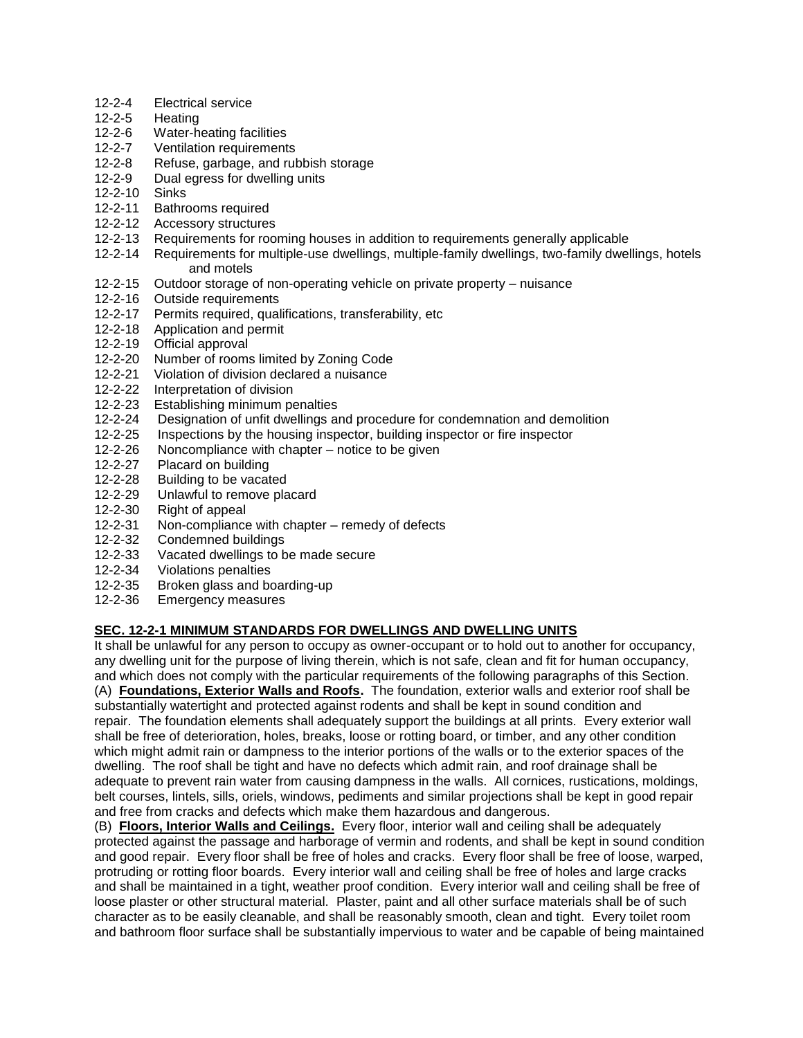- 12-2-4 Electrical service
- 12-2-5 Heating
- 12-2-6 Water-heating facilities
- 12-2-7 Ventilation requirements
- 12-2-8 Refuse, garbage, and rubbish storage
- 12-2-9 Dual egress for dwelling units
- 12-2-10 Sinks
- 12-2-11 Bathrooms required
- 12-2-12 Accessory structures
- 12-2-13 Requirements for rooming houses in addition to requirements generally applicable
- 12-2-14 Requirements for multiple-use dwellings, multiple-family dwellings, two-family dwellings, hotels and motels
- 12-2-15 Outdoor storage of non-operating vehicle on private property nuisance
- 12-2-16 Outside requirements
- 12-2-17 Permits required, qualifications, transferability, etc
- 12-2-18 Application and permit
- 12-2-19 Official approval
- 12-2-20 Number of rooms limited by Zoning Code
- 12-2-21 Violation of division declared a nuisance
- 12-2-22 Interpretation of division
- 12-2-23 Establishing minimum penalties
- 12-2-24 Designation of unfit dwellings and procedure for condemnation and demolition
- 12-2-25 Inspections by the housing inspector, building inspector or fire inspector
- 12-2-26 Noncompliance with chapter notice to be given
- 12-2-27 Placard on building
- 12-2-28 Building to be vacated
- 12-2-29 Unlawful to remove placard
- 12-2-30 Right of appeal
- 12-2-31 Non-compliance with chapter remedy of defects
- 12-2-32 Condemned buildings
- 12-2-33 Vacated dwellings to be made secure
- 12-2-34 Violations penalties
- 12-2-35 Broken glass and boarding-up
- 12-2-36 Emergency measures

## **SEC. 12-2-1 MINIMUM STANDARDS FOR DWELLINGS AND DWELLING UNITS**

It shall be unlawful for any person to occupy as owner-occupant or to hold out to another for occupancy, any dwelling unit for the purpose of living therein, which is not safe, clean and fit for human occupancy, and which does not comply with the particular requirements of the following paragraphs of this Section. (A) **Foundations, Exterior Walls and Roofs.** The foundation, exterior walls and exterior roof shall be substantially watertight and protected against rodents and shall be kept in sound condition and repair. The foundation elements shall adequately support the buildings at all prints. Every exterior wall shall be free of deterioration, holes, breaks, loose or rotting board, or timber, and any other condition which might admit rain or dampness to the interior portions of the walls or to the exterior spaces of the dwelling. The roof shall be tight and have no defects which admit rain, and roof drainage shall be adequate to prevent rain water from causing dampness in the walls. All cornices, rustications, moldings, belt courses, lintels, sills, oriels, windows, pediments and similar projections shall be kept in good repair and free from cracks and defects which make them hazardous and dangerous.

(B) **Floors, Interior Walls and Ceilings.** Every floor, interior wall and ceiling shall be adequately protected against the passage and harborage of vermin and rodents, and shall be kept in sound condition and good repair. Every floor shall be free of holes and cracks. Every floor shall be free of loose, warped, protruding or rotting floor boards. Every interior wall and ceiling shall be free of holes and large cracks and shall be maintained in a tight, weather proof condition. Every interior wall and ceiling shall be free of loose plaster or other structural material. Plaster, paint and all other surface materials shall be of such character as to be easily cleanable, and shall be reasonably smooth, clean and tight. Every toilet room and bathroom floor surface shall be substantially impervious to water and be capable of being maintained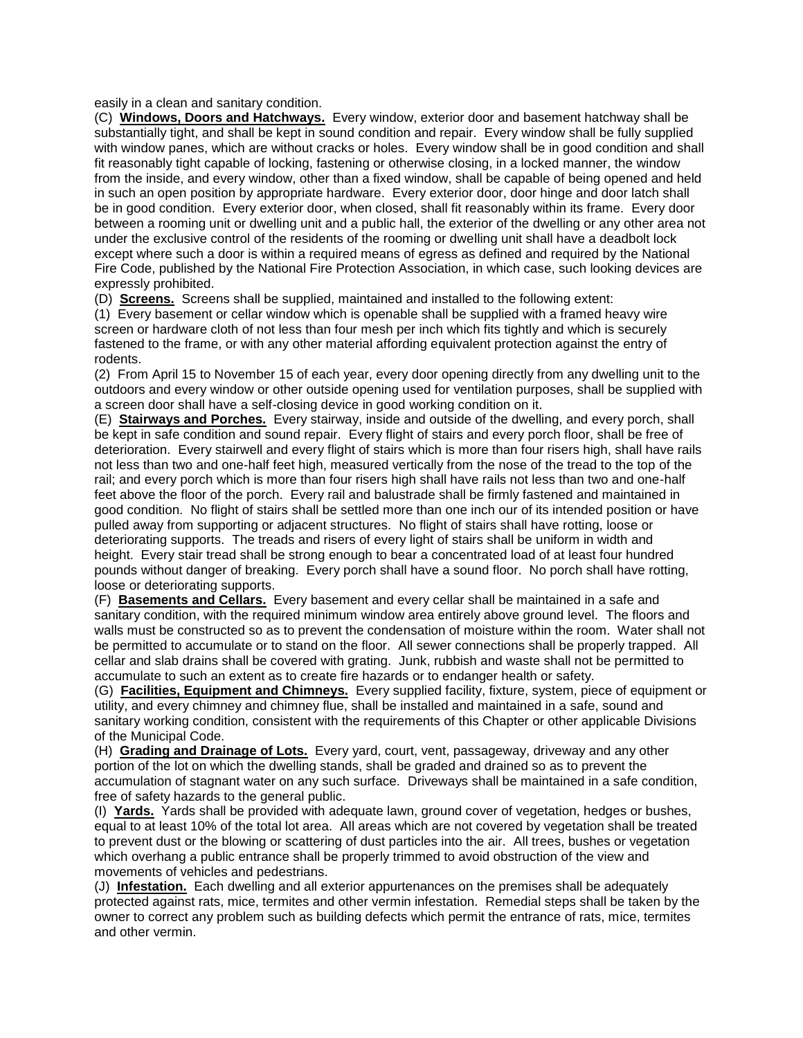easily in a clean and sanitary condition.

(C) **Windows, Doors and Hatchways.** Every window, exterior door and basement hatchway shall be substantially tight, and shall be kept in sound condition and repair. Every window shall be fully supplied with window panes, which are without cracks or holes. Every window shall be in good condition and shall fit reasonably tight capable of locking, fastening or otherwise closing, in a locked manner, the window from the inside, and every window, other than a fixed window, shall be capable of being opened and held in such an open position by appropriate hardware. Every exterior door, door hinge and door latch shall be in good condition. Every exterior door, when closed, shall fit reasonably within its frame. Every door between a rooming unit or dwelling unit and a public hall, the exterior of the dwelling or any other area not under the exclusive control of the residents of the rooming or dwelling unit shall have a deadbolt lock except where such a door is within a required means of egress as defined and required by the National Fire Code, published by the National Fire Protection Association, in which case, such looking devices are expressly prohibited.

(D) **Screens.** Screens shall be supplied, maintained and installed to the following extent:

(1) Every basement or cellar window which is openable shall be supplied with a framed heavy wire screen or hardware cloth of not less than four mesh per inch which fits tightly and which is securely fastened to the frame, or with any other material affording equivalent protection against the entry of rodents.

(2) From April 15 to November 15 of each year, every door opening directly from any dwelling unit to the outdoors and every window or other outside opening used for ventilation purposes, shall be supplied with a screen door shall have a self-closing device in good working condition on it.

(E) **Stairways and Porches.** Every stairway, inside and outside of the dwelling, and every porch, shall be kept in safe condition and sound repair. Every flight of stairs and every porch floor, shall be free of deterioration. Every stairwell and every flight of stairs which is more than four risers high, shall have rails not less than two and one-half feet high, measured vertically from the nose of the tread to the top of the rail; and every porch which is more than four risers high shall have rails not less than two and one-half feet above the floor of the porch. Every rail and balustrade shall be firmly fastened and maintained in good condition. No flight of stairs shall be settled more than one inch our of its intended position or have pulled away from supporting or adjacent structures. No flight of stairs shall have rotting, loose or deteriorating supports. The treads and risers of every light of stairs shall be uniform in width and height. Every stair tread shall be strong enough to bear a concentrated load of at least four hundred pounds without danger of breaking. Every porch shall have a sound floor. No porch shall have rotting, loose or deteriorating supports.

(F) **Basements and Cellars.** Every basement and every cellar shall be maintained in a safe and sanitary condition, with the required minimum window area entirely above ground level. The floors and walls must be constructed so as to prevent the condensation of moisture within the room. Water shall not be permitted to accumulate or to stand on the floor. All sewer connections shall be properly trapped. All cellar and slab drains shall be covered with grating. Junk, rubbish and waste shall not be permitted to accumulate to such an extent as to create fire hazards or to endanger health or safety.

(G) **Facilities, Equipment and Chimneys.** Every supplied facility, fixture, system, piece of equipment or utility, and every chimney and chimney flue, shall be installed and maintained in a safe, sound and sanitary working condition, consistent with the requirements of this Chapter or other applicable Divisions of the Municipal Code.

(H) **Grading and Drainage of Lots.** Every yard, court, vent, passageway, driveway and any other portion of the lot on which the dwelling stands, shall be graded and drained so as to prevent the accumulation of stagnant water on any such surface. Driveways shall be maintained in a safe condition, free of safety hazards to the general public.

(I) **Yards.** Yards shall be provided with adequate lawn, ground cover of vegetation, hedges or bushes, equal to at least 10% of the total lot area. All areas which are not covered by vegetation shall be treated to prevent dust or the blowing or scattering of dust particles into the air. All trees, bushes or vegetation which overhang a public entrance shall be properly trimmed to avoid obstruction of the view and movements of vehicles and pedestrians.

(J) **Infestation.** Each dwelling and all exterior appurtenances on the premises shall be adequately protected against rats, mice, termites and other vermin infestation. Remedial steps shall be taken by the owner to correct any problem such as building defects which permit the entrance of rats, mice, termites and other vermin.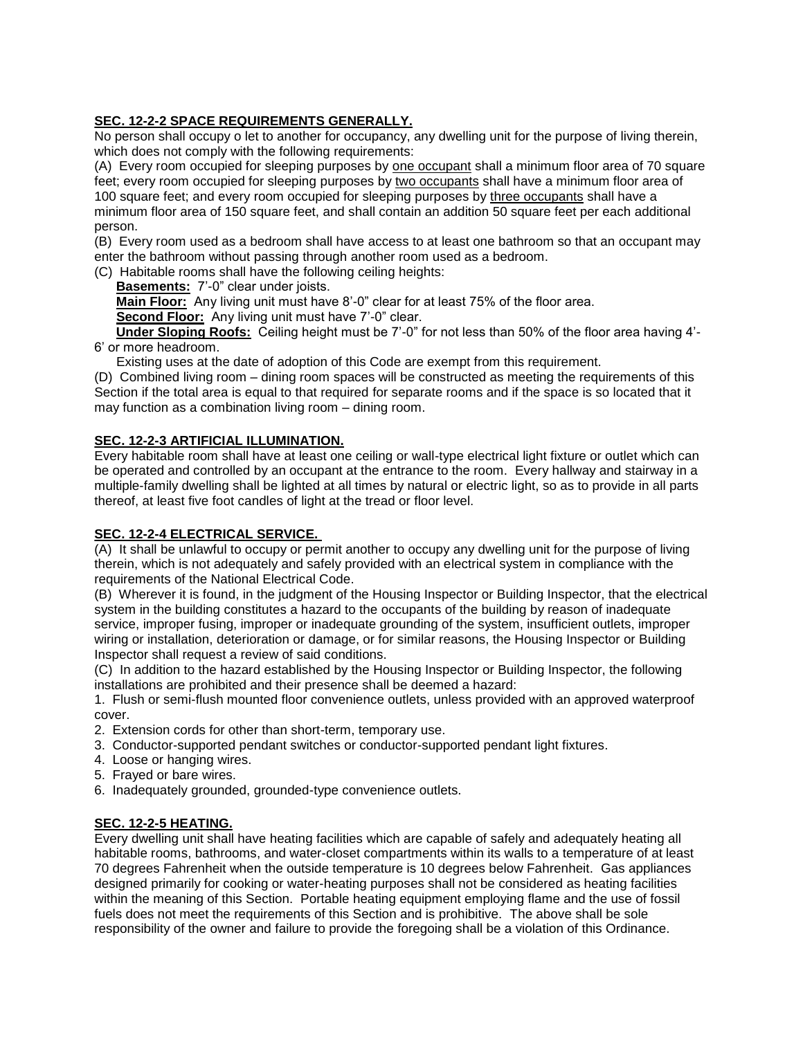## **SEC. 12-2-2 SPACE REQUIREMENTS GENERALLY.**

No person shall occupy o let to another for occupancy, any dwelling unit for the purpose of living therein, which does not comply with the following requirements:

(A) Every room occupied for sleeping purposes by one occupant shall a minimum floor area of 70 square feet; every room occupied for sleeping purposes by two occupants shall have a minimum floor area of 100 square feet; and every room occupied for sleeping purposes by three occupants shall have a minimum floor area of 150 square feet, and shall contain an addition 50 square feet per each additional person.

(B) Every room used as a bedroom shall have access to at least one bathroom so that an occupant may enter the bathroom without passing through another room used as a bedroom.

(C) Habitable rooms shall have the following ceiling heights:

**Basements:** 7'-0" clear under joists.

**Main Floor:** Any living unit must have 8'-0" clear for at least 75% of the floor area.

**Second Floor:** Any living unit must have 7'-0" clear.

 **Under Sloping Roofs:** Ceiling height must be 7'-0" for not less than 50% of the floor area having 4'- 6' or more headroom.

Existing uses at the date of adoption of this Code are exempt from this requirement.

(D) Combined living room – dining room spaces will be constructed as meeting the requirements of this Section if the total area is equal to that required for separate rooms and if the space is so located that it may function as a combination living room – dining room.

## **SEC. 12-2-3 ARTIFICIAL ILLUMINATION.**

Every habitable room shall have at least one ceiling or wall-type electrical light fixture or outlet which can be operated and controlled by an occupant at the entrance to the room. Every hallway and stairway in a multiple-family dwelling shall be lighted at all times by natural or electric light, so as to provide in all parts thereof, at least five foot candles of light at the tread or floor level.

## **SEC. 12-2-4 ELECTRICAL SERVICE.**

(A) It shall be unlawful to occupy or permit another to occupy any dwelling unit for the purpose of living therein, which is not adequately and safely provided with an electrical system in compliance with the requirements of the National Electrical Code.

(B) Wherever it is found, in the judgment of the Housing Inspector or Building Inspector, that the electrical system in the building constitutes a hazard to the occupants of the building by reason of inadequate service, improper fusing, improper or inadequate grounding of the system, insufficient outlets, improper wiring or installation, deterioration or damage, or for similar reasons, the Housing Inspector or Building Inspector shall request a review of said conditions.

(C) In addition to the hazard established by the Housing Inspector or Building Inspector, the following installations are prohibited and their presence shall be deemed a hazard:

1. Flush or semi-flush mounted floor convenience outlets, unless provided with an approved waterproof cover.

- 2. Extension cords for other than short-term, temporary use.
- 3. Conductor-supported pendant switches or conductor-supported pendant light fixtures.
- 4. Loose or hanging wires.
- 5. Frayed or bare wires.
- 6. Inadequately grounded, grounded-type convenience outlets.

## **SEC. 12-2-5 HEATING.**

Every dwelling unit shall have heating facilities which are capable of safely and adequately heating all habitable rooms, bathrooms, and water-closet compartments within its walls to a temperature of at least 70 degrees Fahrenheit when the outside temperature is 10 degrees below Fahrenheit. Gas appliances designed primarily for cooking or water-heating purposes shall not be considered as heating facilities within the meaning of this Section. Portable heating equipment employing flame and the use of fossil fuels does not meet the requirements of this Section and is prohibitive. The above shall be sole responsibility of the owner and failure to provide the foregoing shall be a violation of this Ordinance.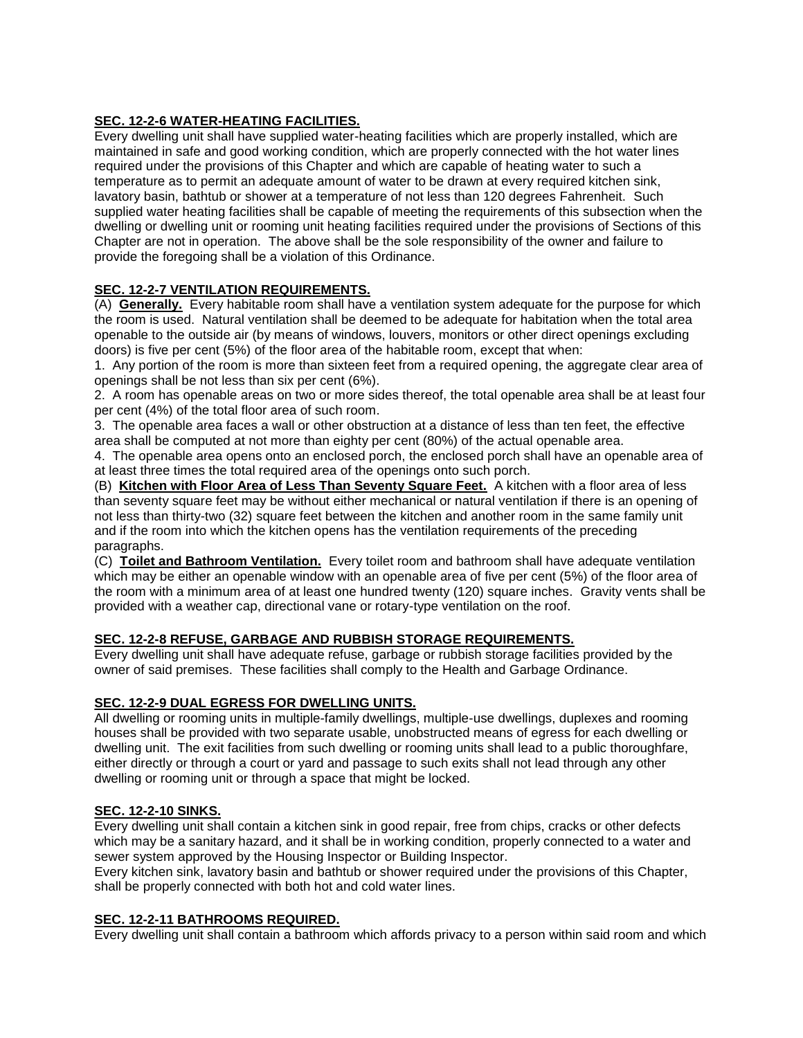## **SEC. 12-2-6 WATER-HEATING FACILITIES.**

Every dwelling unit shall have supplied water-heating facilities which are properly installed, which are maintained in safe and good working condition, which are properly connected with the hot water lines required under the provisions of this Chapter and which are capable of heating water to such a temperature as to permit an adequate amount of water to be drawn at every required kitchen sink, lavatory basin, bathtub or shower at a temperature of not less than 120 degrees Fahrenheit. Such supplied water heating facilities shall be capable of meeting the requirements of this subsection when the dwelling or dwelling unit or rooming unit heating facilities required under the provisions of Sections of this Chapter are not in operation. The above shall be the sole responsibility of the owner and failure to provide the foregoing shall be a violation of this Ordinance.

## **SEC. 12-2-7 VENTILATION REQUIREMENTS.**

(A) **Generally.** Every habitable room shall have a ventilation system adequate for the purpose for which the room is used. Natural ventilation shall be deemed to be adequate for habitation when the total area openable to the outside air (by means of windows, louvers, monitors or other direct openings excluding doors) is five per cent (5%) of the floor area of the habitable room, except that when:

1. Any portion of the room is more than sixteen feet from a required opening, the aggregate clear area of openings shall be not less than six per cent (6%).

2. A room has openable areas on two or more sides thereof, the total openable area shall be at least four per cent (4%) of the total floor area of such room.

3. The openable area faces a wall or other obstruction at a distance of less than ten feet, the effective area shall be computed at not more than eighty per cent (80%) of the actual openable area.

4. The openable area opens onto an enclosed porch, the enclosed porch shall have an openable area of at least three times the total required area of the openings onto such porch.

(B) **Kitchen with Floor Area of Less Than Seventy Square Feet.** A kitchen with a floor area of less than seventy square feet may be without either mechanical or natural ventilation if there is an opening of not less than thirty-two (32) square feet between the kitchen and another room in the same family unit and if the room into which the kitchen opens has the ventilation requirements of the preceding paragraphs.

(C) **Toilet and Bathroom Ventilation.** Every toilet room and bathroom shall have adequate ventilation which may be either an openable window with an openable area of five per cent (5%) of the floor area of the room with a minimum area of at least one hundred twenty (120) square inches. Gravity vents shall be provided with a weather cap, directional vane or rotary-type ventilation on the roof.

## **SEC. 12-2-8 REFUSE, GARBAGE AND RUBBISH STORAGE REQUIREMENTS.**

Every dwelling unit shall have adequate refuse, garbage or rubbish storage facilities provided by the owner of said premises. These facilities shall comply to the Health and Garbage Ordinance.

## **SEC. 12-2-9 DUAL EGRESS FOR DWELLING UNITS.**

All dwelling or rooming units in multiple-family dwellings, multiple-use dwellings, duplexes and rooming houses shall be provided with two separate usable, unobstructed means of egress for each dwelling or dwelling unit. The exit facilities from such dwelling or rooming units shall lead to a public thoroughfare, either directly or through a court or yard and passage to such exits shall not lead through any other dwelling or rooming unit or through a space that might be locked.

## **SEC. 12-2-10 SINKS.**

Every dwelling unit shall contain a kitchen sink in good repair, free from chips, cracks or other defects which may be a sanitary hazard, and it shall be in working condition, properly connected to a water and sewer system approved by the Housing Inspector or Building Inspector.

Every kitchen sink, lavatory basin and bathtub or shower required under the provisions of this Chapter, shall be properly connected with both hot and cold water lines.

## **SEC. 12-2-11 BATHROOMS REQUIRED.**

Every dwelling unit shall contain a bathroom which affords privacy to a person within said room and which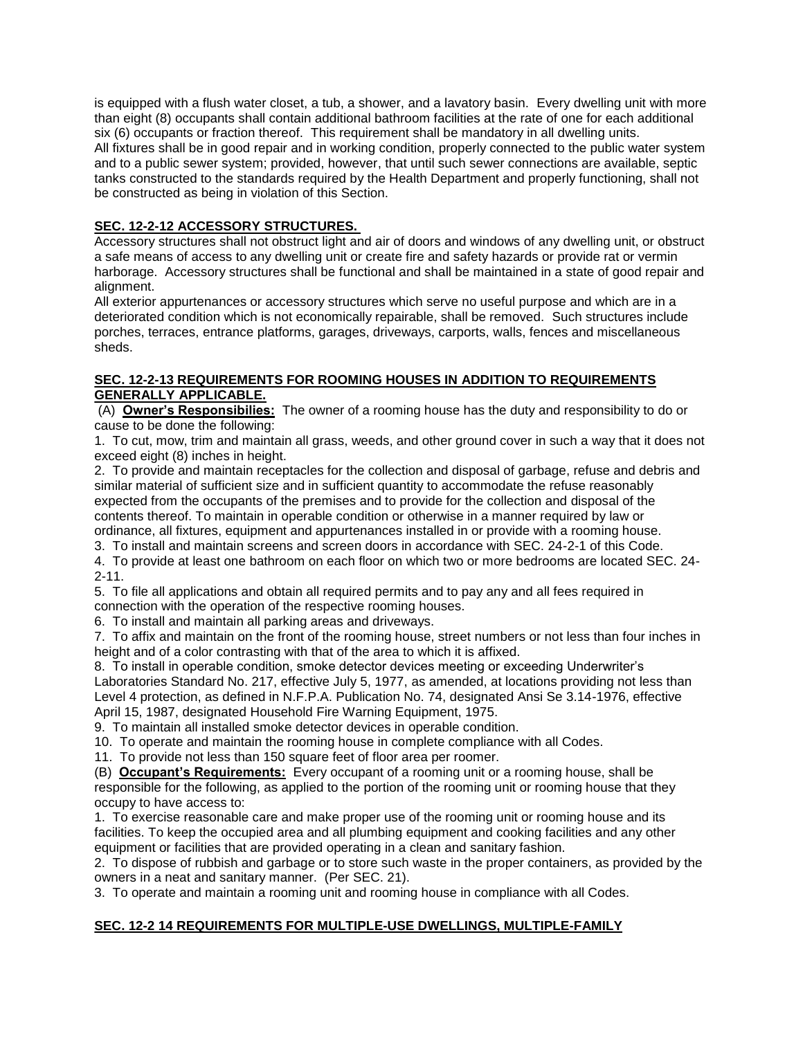is equipped with a flush water closet, a tub, a shower, and a lavatory basin. Every dwelling unit with more than eight (8) occupants shall contain additional bathroom facilities at the rate of one for each additional six (6) occupants or fraction thereof. This requirement shall be mandatory in all dwelling units. All fixtures shall be in good repair and in working condition, properly connected to the public water system and to a public sewer system; provided, however, that until such sewer connections are available, septic tanks constructed to the standards required by the Health Department and properly functioning, shall not be constructed as being in violation of this Section.

## **SEC. 12-2-12 ACCESSORY STRUCTURES.**

Accessory structures shall not obstruct light and air of doors and windows of any dwelling unit, or obstruct a safe means of access to any dwelling unit or create fire and safety hazards or provide rat or vermin harborage. Accessory structures shall be functional and shall be maintained in a state of good repair and alignment.

All exterior appurtenances or accessory structures which serve no useful purpose and which are in a deteriorated condition which is not economically repairable, shall be removed. Such structures include porches, terraces, entrance platforms, garages, driveways, carports, walls, fences and miscellaneous sheds.

## **SEC. 12-2-13 REQUIREMENTS FOR ROOMING HOUSES IN ADDITION TO REQUIREMENTS GENERALLY APPLICABLE.**

(A) **Owner's Responsibilies:** The owner of a rooming house has the duty and responsibility to do or cause to be done the following:

1. To cut, mow, trim and maintain all grass, weeds, and other ground cover in such a way that it does not exceed eight (8) inches in height.

2. To provide and maintain receptacles for the collection and disposal of garbage, refuse and debris and similar material of sufficient size and in sufficient quantity to accommodate the refuse reasonably expected from the occupants of the premises and to provide for the collection and disposal of the contents thereof. To maintain in operable condition or otherwise in a manner required by law or ordinance, all fixtures, equipment and appurtenances installed in or provide with a rooming house.

3. To install and maintain screens and screen doors in accordance with SEC. 24-2-1 of this Code.

4. To provide at least one bathroom on each floor on which two or more bedrooms are located SEC. 24- 2-11.

5. To file all applications and obtain all required permits and to pay any and all fees required in

connection with the operation of the respective rooming houses.

6. To install and maintain all parking areas and driveways.

7. To affix and maintain on the front of the rooming house, street numbers or not less than four inches in height and of a color contrasting with that of the area to which it is affixed.

8. To install in operable condition, smoke detector devices meeting or exceeding Underwriter's Laboratories Standard No. 217, effective July 5, 1977, as amended, at locations providing not less than Level 4 protection, as defined in N.F.P.A. Publication No. 74, designated Ansi Se 3.14-1976, effective April 15, 1987, designated Household Fire Warning Equipment, 1975.

9. To maintain all installed smoke detector devices in operable condition.

10. To operate and maintain the rooming house in complete compliance with all Codes.

11. To provide not less than 150 square feet of floor area per roomer.

(B) **Occupant's Requirements:** Every occupant of a rooming unit or a rooming house, shall be responsible for the following, as applied to the portion of the rooming unit or rooming house that they occupy to have access to:

1. To exercise reasonable care and make proper use of the rooming unit or rooming house and its facilities. To keep the occupied area and all plumbing equipment and cooking facilities and any other equipment or facilities that are provided operating in a clean and sanitary fashion.

2. To dispose of rubbish and garbage or to store such waste in the proper containers, as provided by the owners in a neat and sanitary manner. (Per SEC. 21).

3. To operate and maintain a rooming unit and rooming house in compliance with all Codes.

## **SEC. 12-2 14 REQUIREMENTS FOR MULTIPLE-USE DWELLINGS, MULTIPLE-FAMILY**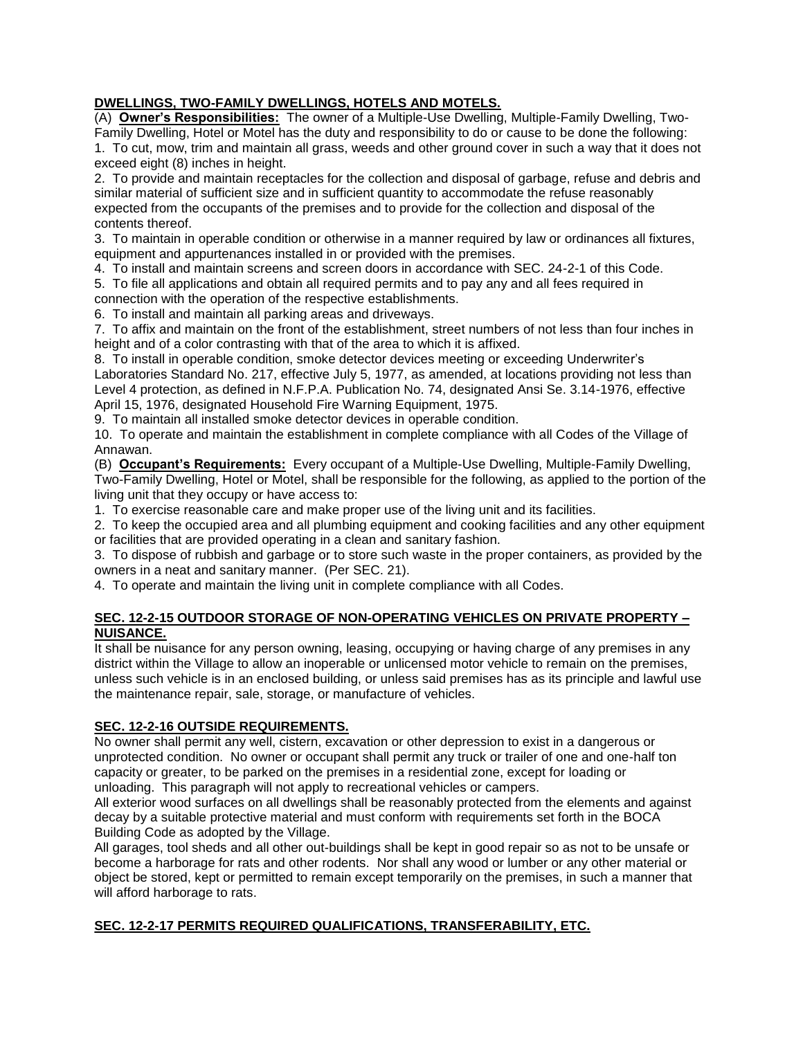## **DWELLINGS, TWO-FAMILY DWELLINGS, HOTELS AND MOTELS.**

(A) **Owner's Responsibilities:** The owner of a Multiple-Use Dwelling, Multiple-Family Dwelling, Two-Family Dwelling, Hotel or Motel has the duty and responsibility to do or cause to be done the following: 1. To cut, mow, trim and maintain all grass, weeds and other ground cover in such a way that it does not exceed eight (8) inches in height.

2. To provide and maintain receptacles for the collection and disposal of garbage, refuse and debris and similar material of sufficient size and in sufficient quantity to accommodate the refuse reasonably expected from the occupants of the premises and to provide for the collection and disposal of the contents thereof.

3. To maintain in operable condition or otherwise in a manner required by law or ordinances all fixtures, equipment and appurtenances installed in or provided with the premises.

4. To install and maintain screens and screen doors in accordance with SEC. 24-2-1 of this Code.

5. To file all applications and obtain all required permits and to pay any and all fees required in connection with the operation of the respective establishments.

6. To install and maintain all parking areas and driveways.

7. To affix and maintain on the front of the establishment, street numbers of not less than four inches in height and of a color contrasting with that of the area to which it is affixed.

8. To install in operable condition, smoke detector devices meeting or exceeding Underwriter's Laboratories Standard No. 217, effective July 5, 1977, as amended, at locations providing not less than Level 4 protection, as defined in N.F.P.A. Publication No. 74, designated Ansi Se. 3.14-1976, effective April 15, 1976, designated Household Fire Warning Equipment, 1975.

9. To maintain all installed smoke detector devices in operable condition.

10. To operate and maintain the establishment in complete compliance with all Codes of the Village of Annawan.

(B) **Occupant's Requirements:** Every occupant of a Multiple-Use Dwelling, Multiple-Family Dwelling, Two-Family Dwelling, Hotel or Motel, shall be responsible for the following, as applied to the portion of the living unit that they occupy or have access to:

1. To exercise reasonable care and make proper use of the living unit and its facilities.

2. To keep the occupied area and all plumbing equipment and cooking facilities and any other equipment or facilities that are provided operating in a clean and sanitary fashion.

3. To dispose of rubbish and garbage or to store such waste in the proper containers, as provided by the owners in a neat and sanitary manner. (Per SEC. 21).

4. To operate and maintain the living unit in complete compliance with all Codes.

#### **SEC. 12-2-15 OUTDOOR STORAGE OF NON-OPERATING VEHICLES ON PRIVATE PROPERTY – NUISANCE.**

It shall be nuisance for any person owning, leasing, occupying or having charge of any premises in any district within the Village to allow an inoperable or unlicensed motor vehicle to remain on the premises, unless such vehicle is in an enclosed building, or unless said premises has as its principle and lawful use the maintenance repair, sale, storage, or manufacture of vehicles.

## **SEC. 12-2-16 OUTSIDE REQUIREMENTS.**

No owner shall permit any well, cistern, excavation or other depression to exist in a dangerous or unprotected condition. No owner or occupant shall permit any truck or trailer of one and one-half ton capacity or greater, to be parked on the premises in a residential zone, except for loading or unloading. This paragraph will not apply to recreational vehicles or campers.

All exterior wood surfaces on all dwellings shall be reasonably protected from the elements and against decay by a suitable protective material and must conform with requirements set forth in the BOCA Building Code as adopted by the Village.

All garages, tool sheds and all other out-buildings shall be kept in good repair so as not to be unsafe or become a harborage for rats and other rodents. Nor shall any wood or lumber or any other material or object be stored, kept or permitted to remain except temporarily on the premises, in such a manner that will afford harborage to rats.

## **SEC. 12-2-17 PERMITS REQUIRED QUALIFICATIONS, TRANSFERABILITY, ETC.**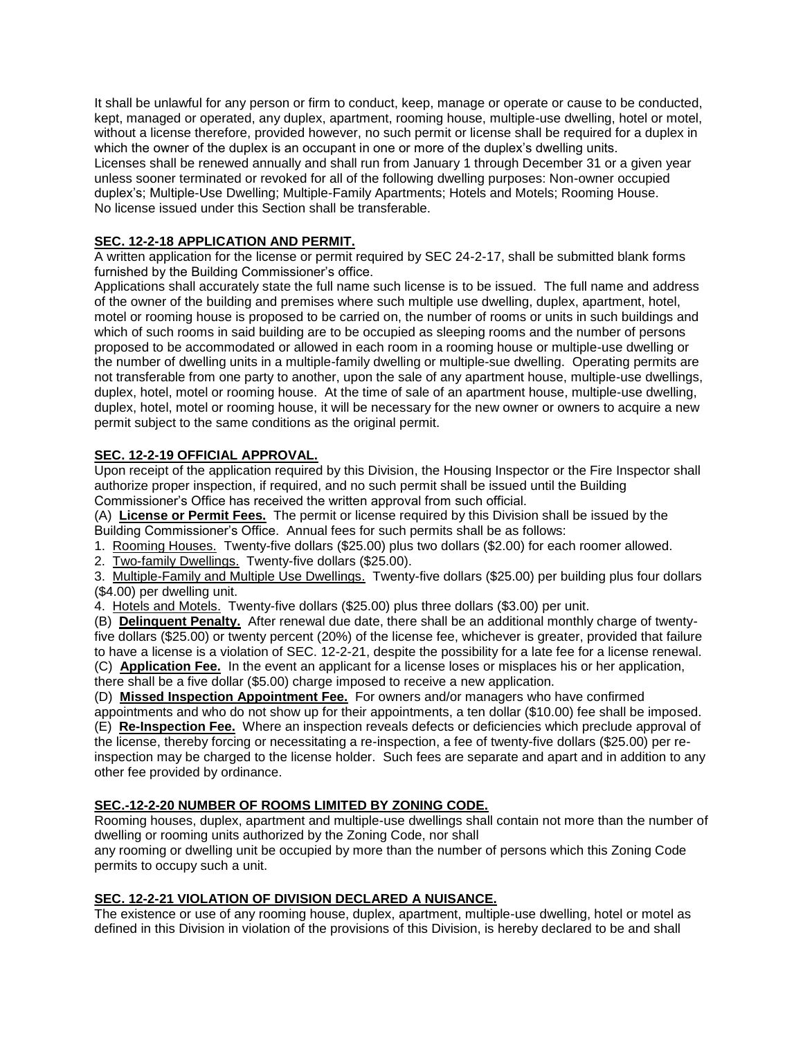It shall be unlawful for any person or firm to conduct, keep, manage or operate or cause to be conducted, kept, managed or operated, any duplex, apartment, rooming house, multiple-use dwelling, hotel or motel, without a license therefore, provided however, no such permit or license shall be required for a duplex in which the owner of the duplex is an occupant in one or more of the duplex's dwelling units. Licenses shall be renewed annually and shall run from January 1 through December 31 or a given year unless sooner terminated or revoked for all of the following dwelling purposes: Non-owner occupied duplex's; Multiple-Use Dwelling; Multiple-Family Apartments; Hotels and Motels; Rooming House. No license issued under this Section shall be transferable.

## **SEC. 12-2-18 APPLICATION AND PERMIT.**

A written application for the license or permit required by SEC 24-2-17, shall be submitted blank forms furnished by the Building Commissioner's office.

Applications shall accurately state the full name such license is to be issued. The full name and address of the owner of the building and premises where such multiple use dwelling, duplex, apartment, hotel, motel or rooming house is proposed to be carried on, the number of rooms or units in such buildings and which of such rooms in said building are to be occupied as sleeping rooms and the number of persons proposed to be accommodated or allowed in each room in a rooming house or multiple-use dwelling or the number of dwelling units in a multiple-family dwelling or multiple-sue dwelling. Operating permits are not transferable from one party to another, upon the sale of any apartment house, multiple-use dwellings, duplex, hotel, motel or rooming house. At the time of sale of an apartment house, multiple-use dwelling, duplex, hotel, motel or rooming house, it will be necessary for the new owner or owners to acquire a new permit subject to the same conditions as the original permit.

## **SEC. 12-2-19 OFFICIAL APPROVAL.**

Upon receipt of the application required by this Division, the Housing Inspector or the Fire Inspector shall authorize proper inspection, if required, and no such permit shall be issued until the Building Commissioner's Office has received the written approval from such official.

(A) **License or Permit Fees.** The permit or license required by this Division shall be issued by the Building Commissioner's Office. Annual fees for such permits shall be as follows:

1. Rooming Houses. Twenty-five dollars (\$25.00) plus two dollars (\$2.00) for each roomer allowed.

2. Two-family Dwellings. Twenty-five dollars (\$25.00).

3. Multiple-Family and Multiple Use Dwellings. Twenty-five dollars (\$25.00) per building plus four dollars (\$4.00) per dwelling unit.

4. Hotels and Motels. Twenty-five dollars (\$25.00) plus three dollars (\$3.00) per unit.

(B) **Delinquent Penalty.** After renewal due date, there shall be an additional monthly charge of twentyfive dollars (\$25.00) or twenty percent (20%) of the license fee, whichever is greater, provided that failure to have a license is a violation of SEC. 12-2-21, despite the possibility for a late fee for a license renewal. (C) **Application Fee.** In the event an applicant for a license loses or misplaces his or her application,

there shall be a five dollar (\$5.00) charge imposed to receive a new application.

(D) **Missed Inspection Appointment Fee.** For owners and/or managers who have confirmed

appointments and who do not show up for their appointments, a ten dollar (\$10.00) fee shall be imposed. (E) **Re-Inspection Fee.** Where an inspection reveals defects or deficiencies which preclude approval of the license, thereby forcing or necessitating a re-inspection, a fee of twenty-five dollars (\$25.00) per reinspection may be charged to the license holder. Such fees are separate and apart and in addition to any other fee provided by ordinance.

## **SEC.-12-2-20 NUMBER OF ROOMS LIMITED BY ZONING CODE.**

Rooming houses, duplex, apartment and multiple-use dwellings shall contain not more than the number of dwelling or rooming units authorized by the Zoning Code, nor shall

any rooming or dwelling unit be occupied by more than the number of persons which this Zoning Code permits to occupy such a unit.

## **SEC. 12-2-21 VIOLATION OF DIVISION DECLARED A NUISANCE.**

The existence or use of any rooming house, duplex, apartment, multiple-use dwelling, hotel or motel as defined in this Division in violation of the provisions of this Division, is hereby declared to be and shall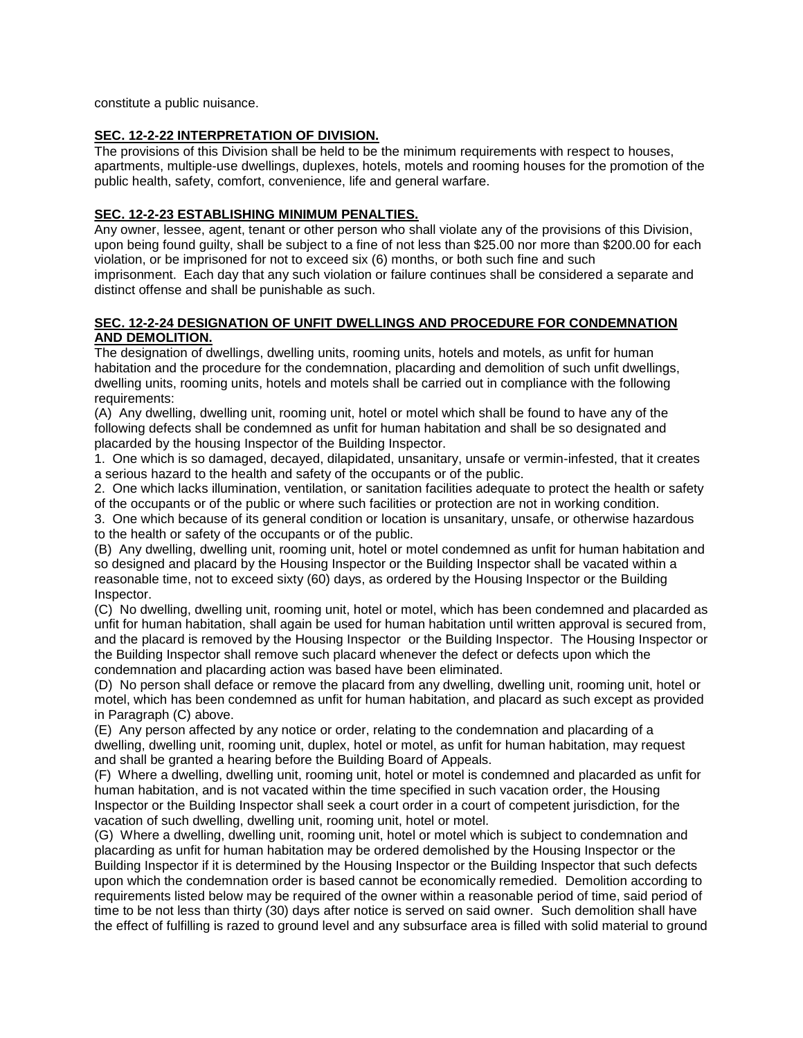constitute a public nuisance.

#### **SEC. 12-2-22 INTERPRETATION OF DIVISION.**

The provisions of this Division shall be held to be the minimum requirements with respect to houses, apartments, multiple-use dwellings, duplexes, hotels, motels and rooming houses for the promotion of the public health, safety, comfort, convenience, life and general warfare.

#### **SEC. 12-2-23 ESTABLISHING MINIMUM PENALTIES.**

Any owner, lessee, agent, tenant or other person who shall violate any of the provisions of this Division, upon being found guilty, shall be subject to a fine of not less than \$25.00 nor more than \$200.00 for each violation, or be imprisoned for not to exceed six (6) months, or both such fine and such imprisonment. Each day that any such violation or failure continues shall be considered a separate and distinct offense and shall be punishable as such.

#### **SEC. 12-2-24 DESIGNATION OF UNFIT DWELLINGS AND PROCEDURE FOR CONDEMNATION AND DEMOLITION.**

The designation of dwellings, dwelling units, rooming units, hotels and motels, as unfit for human habitation and the procedure for the condemnation, placarding and demolition of such unfit dwellings, dwelling units, rooming units, hotels and motels shall be carried out in compliance with the following requirements:

(A) Any dwelling, dwelling unit, rooming unit, hotel or motel which shall be found to have any of the following defects shall be condemned as unfit for human habitation and shall be so designated and placarded by the housing Inspector of the Building Inspector.

1. One which is so damaged, decayed, dilapidated, unsanitary, unsafe or vermin-infested, that it creates a serious hazard to the health and safety of the occupants or of the public.

2. One which lacks illumination, ventilation, or sanitation facilities adequate to protect the health or safety of the occupants or of the public or where such facilities or protection are not in working condition.

3. One which because of its general condition or location is unsanitary, unsafe, or otherwise hazardous to the health or safety of the occupants or of the public.

(B) Any dwelling, dwelling unit, rooming unit, hotel or motel condemned as unfit for human habitation and so designed and placard by the Housing Inspector or the Building Inspector shall be vacated within a reasonable time, not to exceed sixty (60) days, as ordered by the Housing Inspector or the Building Inspector.

(C) No dwelling, dwelling unit, rooming unit, hotel or motel, which has been condemned and placarded as unfit for human habitation, shall again be used for human habitation until written approval is secured from, and the placard is removed by the Housing Inspector or the Building Inspector. The Housing Inspector or the Building Inspector shall remove such placard whenever the defect or defects upon which the condemnation and placarding action was based have been eliminated.

(D) No person shall deface or remove the placard from any dwelling, dwelling unit, rooming unit, hotel or motel, which has been condemned as unfit for human habitation, and placard as such except as provided in Paragraph (C) above.

(E) Any person affected by any notice or order, relating to the condemnation and placarding of a dwelling, dwelling unit, rooming unit, duplex, hotel or motel, as unfit for human habitation, may request and shall be granted a hearing before the Building Board of Appeals.

(F) Where a dwelling, dwelling unit, rooming unit, hotel or motel is condemned and placarded as unfit for human habitation, and is not vacated within the time specified in such vacation order, the Housing Inspector or the Building Inspector shall seek a court order in a court of competent jurisdiction, for the vacation of such dwelling, dwelling unit, rooming unit, hotel or motel.

(G) Where a dwelling, dwelling unit, rooming unit, hotel or motel which is subject to condemnation and placarding as unfit for human habitation may be ordered demolished by the Housing Inspector or the Building Inspector if it is determined by the Housing Inspector or the Building Inspector that such defects upon which the condemnation order is based cannot be economically remedied. Demolition according to requirements listed below may be required of the owner within a reasonable period of time, said period of time to be not less than thirty (30) days after notice is served on said owner. Such demolition shall have the effect of fulfilling is razed to ground level and any subsurface area is filled with solid material to ground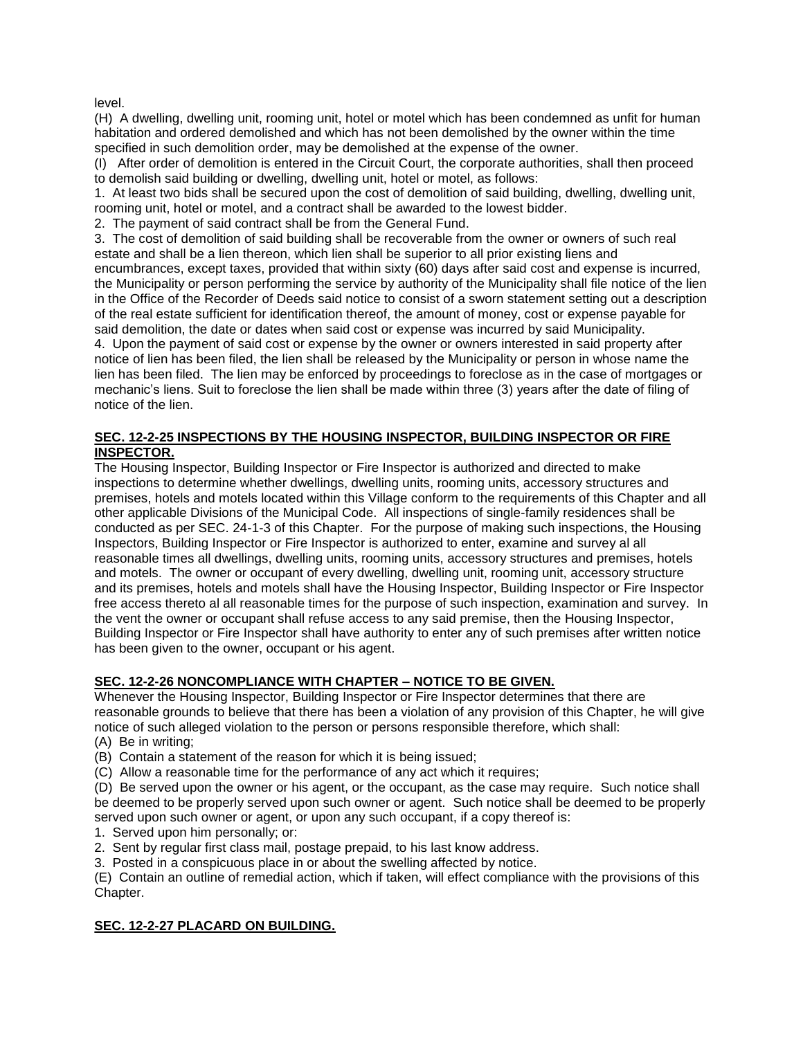level.

(H) A dwelling, dwelling unit, rooming unit, hotel or motel which has been condemned as unfit for human habitation and ordered demolished and which has not been demolished by the owner within the time specified in such demolition order, may be demolished at the expense of the owner.

(I) After order of demolition is entered in the Circuit Court, the corporate authorities, shall then proceed to demolish said building or dwelling, dwelling unit, hotel or motel, as follows:

1. At least two bids shall be secured upon the cost of demolition of said building, dwelling, dwelling unit, rooming unit, hotel or motel, and a contract shall be awarded to the lowest bidder.

2. The payment of said contract shall be from the General Fund.

3. The cost of demolition of said building shall be recoverable from the owner or owners of such real estate and shall be a lien thereon, which lien shall be superior to all prior existing liens and encumbrances, except taxes, provided that within sixty (60) days after said cost and expense is incurred, the Municipality or person performing the service by authority of the Municipality shall file notice of the lien in the Office of the Recorder of Deeds said notice to consist of a sworn statement setting out a description of the real estate sufficient for identification thereof, the amount of money, cost or expense payable for said demolition, the date or dates when said cost or expense was incurred by said Municipality.

4. Upon the payment of said cost or expense by the owner or owners interested in said property after notice of lien has been filed, the lien shall be released by the Municipality or person in whose name the lien has been filed. The lien may be enforced by proceedings to foreclose as in the case of mortgages or mechanic's liens. Suit to foreclose the lien shall be made within three (3) years after the date of filing of notice of the lien.

#### **SEC. 12-2-25 INSPECTIONS BY THE HOUSING INSPECTOR, BUILDING INSPECTOR OR FIRE INSPECTOR.**

The Housing Inspector, Building Inspector or Fire Inspector is authorized and directed to make inspections to determine whether dwellings, dwelling units, rooming units, accessory structures and premises, hotels and motels located within this Village conform to the requirements of this Chapter and all other applicable Divisions of the Municipal Code. All inspections of single-family residences shall be conducted as per SEC. 24-1-3 of this Chapter. For the purpose of making such inspections, the Housing Inspectors, Building Inspector or Fire Inspector is authorized to enter, examine and survey al all reasonable times all dwellings, dwelling units, rooming units, accessory structures and premises, hotels and motels. The owner or occupant of every dwelling, dwelling unit, rooming unit, accessory structure and its premises, hotels and motels shall have the Housing Inspector, Building Inspector or Fire Inspector free access thereto al all reasonable times for the purpose of such inspection, examination and survey. In the vent the owner or occupant shall refuse access to any said premise, then the Housing Inspector, Building Inspector or Fire Inspector shall have authority to enter any of such premises after written notice has been given to the owner, occupant or his agent.

## **SEC. 12-2-26 NONCOMPLIANCE WITH CHAPTER – NOTICE TO BE GIVEN.**

Whenever the Housing Inspector, Building Inspector or Fire Inspector determines that there are reasonable grounds to believe that there has been a violation of any provision of this Chapter, he will give notice of such alleged violation to the person or persons responsible therefore, which shall:

- (A) Be in writing;
- (B) Contain a statement of the reason for which it is being issued;
- (C) Allow a reasonable time for the performance of any act which it requires;

(D) Be served upon the owner or his agent, or the occupant, as the case may require. Such notice shall be deemed to be properly served upon such owner or agent. Such notice shall be deemed to be properly served upon such owner or agent, or upon any such occupant, if a copy thereof is:

1. Served upon him personally; or:

- 2. Sent by regular first class mail, postage prepaid, to his last know address.
- 3. Posted in a conspicuous place in or about the swelling affected by notice.

(E) Contain an outline of remedial action, which if taken, will effect compliance with the provisions of this Chapter.

## **SEC. 12-2-27 PLACARD ON BUILDING.**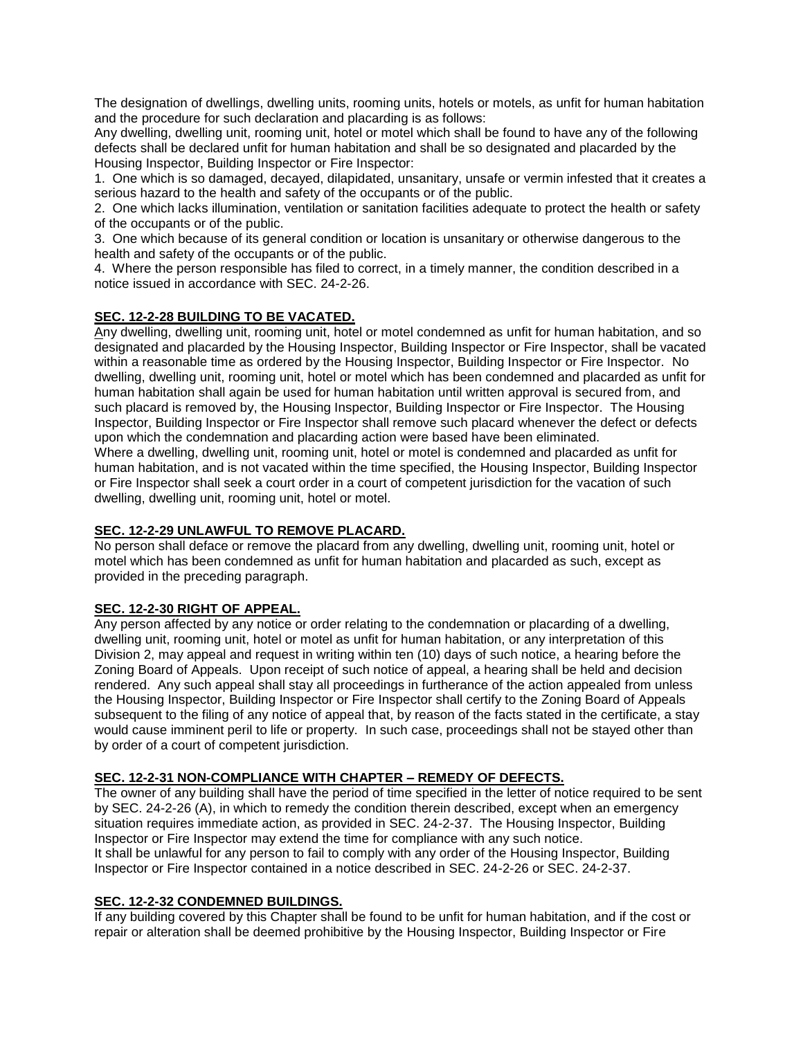The designation of dwellings, dwelling units, rooming units, hotels or motels, as unfit for human habitation and the procedure for such declaration and placarding is as follows:

Any dwelling, dwelling unit, rooming unit, hotel or motel which shall be found to have any of the following defects shall be declared unfit for human habitation and shall be so designated and placarded by the Housing Inspector, Building Inspector or Fire Inspector:

1. One which is so damaged, decayed, dilapidated, unsanitary, unsafe or vermin infested that it creates a serious hazard to the health and safety of the occupants or of the public.

2. One which lacks illumination, ventilation or sanitation facilities adequate to protect the health or safety of the occupants or of the public.

3. One which because of its general condition or location is unsanitary or otherwise dangerous to the health and safety of the occupants or of the public.

4. Where the person responsible has filed to correct, in a timely manner, the condition described in a notice issued in accordance with SEC. 24-2-26.

## **SEC. 12-2-28 BUILDING TO BE VACATED.**

Any dwelling, dwelling unit, rooming unit, hotel or motel condemned as unfit for human habitation, and so designated and placarded by the Housing Inspector, Building Inspector or Fire Inspector, shall be vacated within a reasonable time as ordered by the Housing Inspector, Building Inspector or Fire Inspector. No dwelling, dwelling unit, rooming unit, hotel or motel which has been condemned and placarded as unfit for human habitation shall again be used for human habitation until written approval is secured from, and such placard is removed by, the Housing Inspector, Building Inspector or Fire Inspector. The Housing Inspector, Building Inspector or Fire Inspector shall remove such placard whenever the defect or defects upon which the condemnation and placarding action were based have been eliminated.

Where a dwelling, dwelling unit, rooming unit, hotel or motel is condemned and placarded as unfit for human habitation, and is not vacated within the time specified, the Housing Inspector, Building Inspector or Fire Inspector shall seek a court order in a court of competent jurisdiction for the vacation of such dwelling, dwelling unit, rooming unit, hotel or motel.

## **SEC. 12-2-29 UNLAWFUL TO REMOVE PLACARD.**

No person shall deface or remove the placard from any dwelling, dwelling unit, rooming unit, hotel or motel which has been condemned as unfit for human habitation and placarded as such, except as provided in the preceding paragraph.

## **SEC. 12-2-30 RIGHT OF APPEAL.**

Any person affected by any notice or order relating to the condemnation or placarding of a dwelling, dwelling unit, rooming unit, hotel or motel as unfit for human habitation, or any interpretation of this Division 2, may appeal and request in writing within ten (10) days of such notice, a hearing before the Zoning Board of Appeals. Upon receipt of such notice of appeal, a hearing shall be held and decision rendered. Any such appeal shall stay all proceedings in furtherance of the action appealed from unless the Housing Inspector, Building Inspector or Fire Inspector shall certify to the Zoning Board of Appeals subsequent to the filing of any notice of appeal that, by reason of the facts stated in the certificate, a stay would cause imminent peril to life or property. In such case, proceedings shall not be stayed other than by order of a court of competent jurisdiction.

## **SEC. 12-2-31 NON-COMPLIANCE WITH CHAPTER – REMEDY OF DEFECTS.**

The owner of any building shall have the period of time specified in the letter of notice required to be sent by SEC. 24-2-26 (A), in which to remedy the condition therein described, except when an emergency situation requires immediate action, as provided in SEC. 24-2-37. The Housing Inspector, Building Inspector or Fire Inspector may extend the time for compliance with any such notice. It shall be unlawful for any person to fail to comply with any order of the Housing Inspector, Building Inspector or Fire Inspector contained in a notice described in SEC. 24-2-26 or SEC. 24-2-37.

#### **SEC. 12-2-32 CONDEMNED BUILDINGS.**

If any building covered by this Chapter shall be found to be unfit for human habitation, and if the cost or repair or alteration shall be deemed prohibitive by the Housing Inspector, Building Inspector or Fire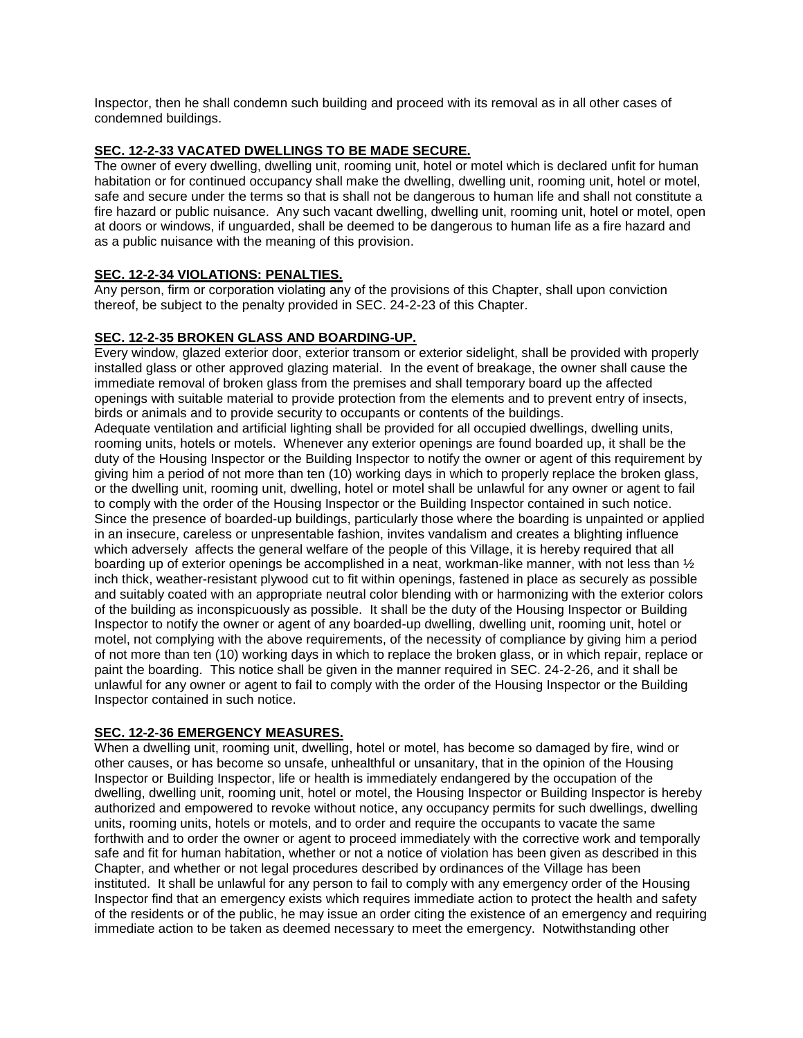Inspector, then he shall condemn such building and proceed with its removal as in all other cases of condemned buildings.

## **SEC. 12-2-33 VACATED DWELLINGS TO BE MADE SECURE.**

The owner of every dwelling, dwelling unit, rooming unit, hotel or motel which is declared unfit for human habitation or for continued occupancy shall make the dwelling, dwelling unit, rooming unit, hotel or motel, safe and secure under the terms so that is shall not be dangerous to human life and shall not constitute a fire hazard or public nuisance. Any such vacant dwelling, dwelling unit, rooming unit, hotel or motel, open at doors or windows, if unguarded, shall be deemed to be dangerous to human life as a fire hazard and as a public nuisance with the meaning of this provision.

## **SEC. 12-2-34 VIOLATIONS: PENALTIES.**

Any person, firm or corporation violating any of the provisions of this Chapter, shall upon conviction thereof, be subject to the penalty provided in SEC. 24-2-23 of this Chapter.

## **SEC. 12-2-35 BROKEN GLASS AND BOARDING-UP.**

Every window, glazed exterior door, exterior transom or exterior sidelight, shall be provided with properly installed glass or other approved glazing material. In the event of breakage, the owner shall cause the immediate removal of broken glass from the premises and shall temporary board up the affected openings with suitable material to provide protection from the elements and to prevent entry of insects, birds or animals and to provide security to occupants or contents of the buildings.

Adequate ventilation and artificial lighting shall be provided for all occupied dwellings, dwelling units, rooming units, hotels or motels. Whenever any exterior openings are found boarded up, it shall be the duty of the Housing Inspector or the Building Inspector to notify the owner or agent of this requirement by giving him a period of not more than ten (10) working days in which to properly replace the broken glass, or the dwelling unit, rooming unit, dwelling, hotel or motel shall be unlawful for any owner or agent to fail to comply with the order of the Housing Inspector or the Building Inspector contained in such notice. Since the presence of boarded-up buildings, particularly those where the boarding is unpainted or applied in an insecure, careless or unpresentable fashion, invites vandalism and creates a blighting influence which adversely affects the general welfare of the people of this Village, it is hereby required that all boarding up of exterior openings be accomplished in a neat, workman-like manner, with not less than ½ inch thick, weather-resistant plywood cut to fit within openings, fastened in place as securely as possible and suitably coated with an appropriate neutral color blending with or harmonizing with the exterior colors of the building as inconspicuously as possible. It shall be the duty of the Housing Inspector or Building Inspector to notify the owner or agent of any boarded-up dwelling, dwelling unit, rooming unit, hotel or motel, not complying with the above requirements, of the necessity of compliance by giving him a period of not more than ten (10) working days in which to replace the broken glass, or in which repair, replace or paint the boarding. This notice shall be given in the manner required in SEC. 24-2-26, and it shall be unlawful for any owner or agent to fail to comply with the order of the Housing Inspector or the Building Inspector contained in such notice.

## **SEC. 12-2-36 EMERGENCY MEASURES.**

When a dwelling unit, rooming unit, dwelling, hotel or motel, has become so damaged by fire, wind or other causes, or has become so unsafe, unhealthful or unsanitary, that in the opinion of the Housing Inspector or Building Inspector, life or health is immediately endangered by the occupation of the dwelling, dwelling unit, rooming unit, hotel or motel, the Housing Inspector or Building Inspector is hereby authorized and empowered to revoke without notice, any occupancy permits for such dwellings, dwelling units, rooming units, hotels or motels, and to order and require the occupants to vacate the same forthwith and to order the owner or agent to proceed immediately with the corrective work and temporally safe and fit for human habitation, whether or not a notice of violation has been given as described in this Chapter, and whether or not legal procedures described by ordinances of the Village has been instituted. It shall be unlawful for any person to fail to comply with any emergency order of the Housing Inspector find that an emergency exists which requires immediate action to protect the health and safety of the residents or of the public, he may issue an order citing the existence of an emergency and requiring immediate action to be taken as deemed necessary to meet the emergency. Notwithstanding other